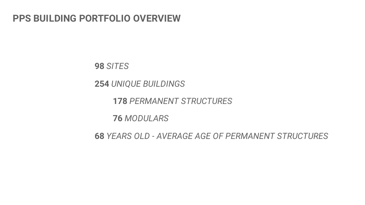## **PPS BUILDING PORTFOLIO OVERVIEW**

*SITES*

*UNIQUE BUILDINGS*

*PERMANENT STRUCTURES*

*MODULARS*

*YEARS OLD - AVERAGE AGE OF PERMANENT STRUCTURES*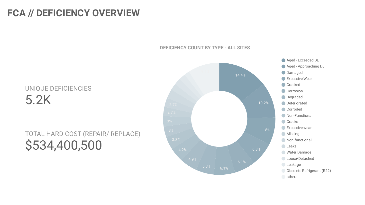## FCA // DEFICIENCY OVERVIEW



### DEFICIENCY COUNT BY TYPE - ALL SITES

# UNIQUE DEFICIENCIES 5.2 K

# TOTAL HARD COST (REPAIR/ REPLACE) \$534,400,500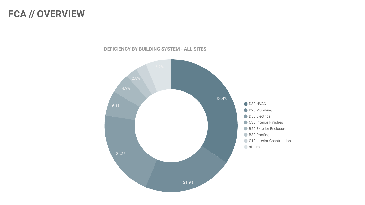## **FCA // OVERVIEW**



**DEFICIENCY BY BUILDING SYSTEM - ALL SITES**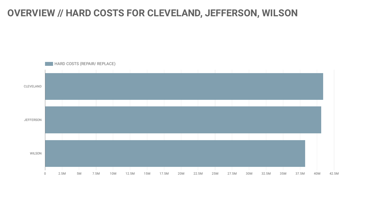### **OVERVIEW // HARD COSTS FOR CLEVELAND, JEFFERSON, WILSON**

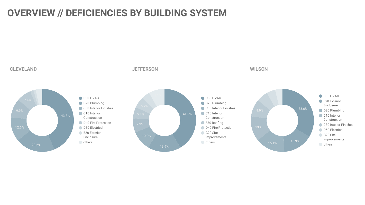## **OVERVIEW // DEFICIENCIES BY BUILDING SYSTEM**